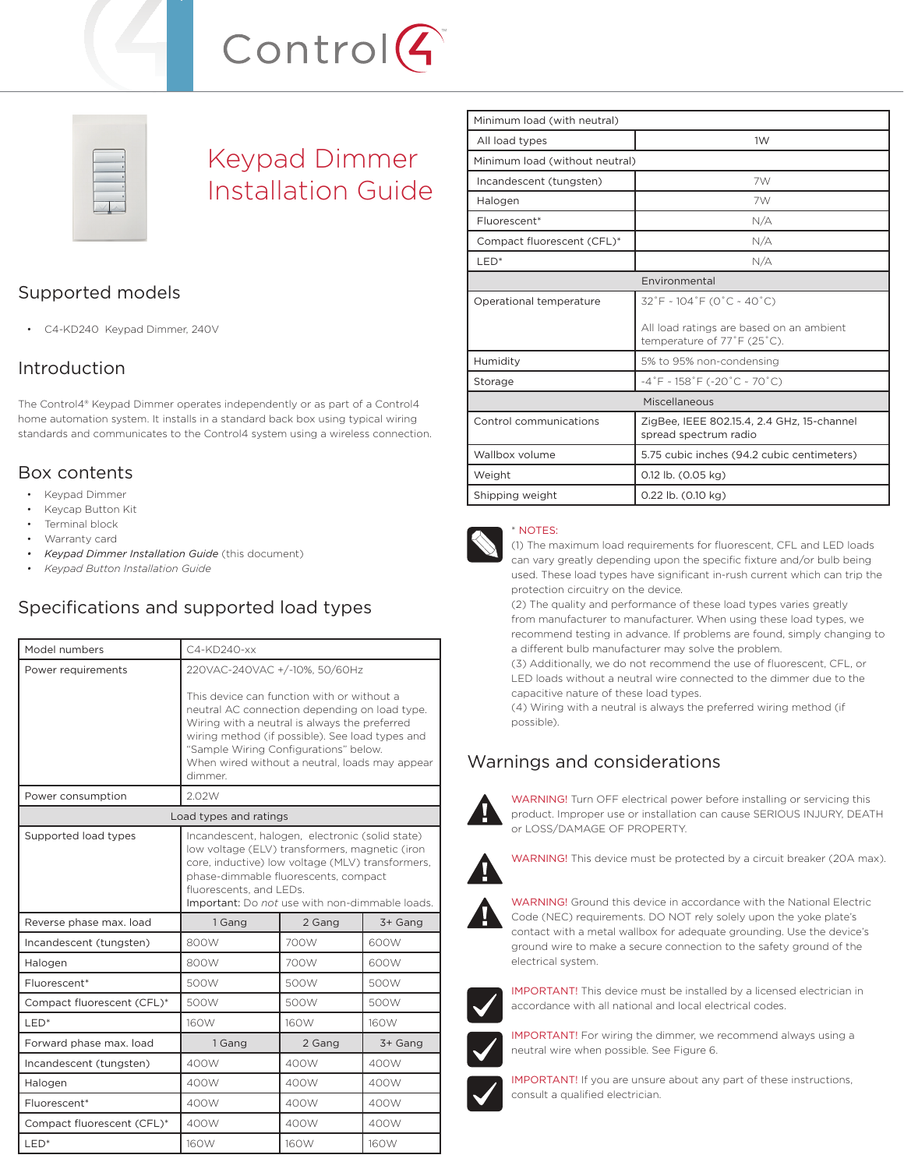

# Keypad Dimmer Installation Guide

# Supported models

• C4-KD240 Keypad Dimmer, 240V

# Introduction

The Control4® Keypad Dimmer operates independently or as part of a Control4 home automation system. It installs in a standard back box using typical wiring standards and communicates to the Control4 system using a wireless connection.

### Box contents

- Keypad Dimmer
- Keycap Button Kit
- Terminal block
- Warranty card
- *Keypad Dimmer Installation Guide* (this document)
- *Keypad Button Installation Guide*

# Specifications and supported load types

| Model numbers              | $C4-KD240-xx$                                                                                                                                                                                                                                                                                         |        |         |  |
|----------------------------|-------------------------------------------------------------------------------------------------------------------------------------------------------------------------------------------------------------------------------------------------------------------------------------------------------|--------|---------|--|
| Power requirements         | 220VAC-240VAC +/-10%, 50/60Hz                                                                                                                                                                                                                                                                         |        |         |  |
|                            | This device can function with or without a<br>neutral AC connection depending on load type.<br>Wiring with a neutral is always the preferred<br>wiring method (if possible). See load types and<br>"Sample Wiring Configurations" below.<br>When wired without a neutral, loads may appear<br>dimmer. |        |         |  |
| Power consumption          | 2.02W                                                                                                                                                                                                                                                                                                 |        |         |  |
| Load types and ratings     |                                                                                                                                                                                                                                                                                                       |        |         |  |
| Supported load types       | Incandescent, halogen, electronic (solid state)<br>low voltage (ELV) transformers, magnetic (iron<br>core, inductive) low voltage (MLV) transformers,<br>phase-dimmable fluorescents, compact<br>fluorescents, and LEDs.<br>Important: Do not use with non-dimmable loads.                            |        |         |  |
| Reverse phase max. load    | 1 Gang                                                                                                                                                                                                                                                                                                | 2 Gang | 3+ Gang |  |
| Incandescent (tungsten)    | 800W                                                                                                                                                                                                                                                                                                  | 700W   | 600W    |  |
| Halogen                    | 800W                                                                                                                                                                                                                                                                                                  | 700W   | 600W    |  |
| Fluorescent*               | 500W                                                                                                                                                                                                                                                                                                  | 500W   | 500W    |  |
| Compact fluorescent (CFL)* | 500W                                                                                                                                                                                                                                                                                                  | 500W   | 500W    |  |
| LED <sup>*</sup>           | 160W                                                                                                                                                                                                                                                                                                  | 160W   | 160W    |  |
| Forward phase max. load    | 1 Gang                                                                                                                                                                                                                                                                                                | 2 Gang | 3+ Gang |  |
| Incandescent (tungsten)    | 400W                                                                                                                                                                                                                                                                                                  | 400W   | 400W    |  |
| Halogen                    | 400W                                                                                                                                                                                                                                                                                                  | 400W   | 400W    |  |
| Fluorescent*               | 400W                                                                                                                                                                                                                                                                                                  | 400W   | 400W    |  |
| Compact fluorescent (CFL)* | 400W                                                                                                                                                                                                                                                                                                  | 400W   | 400W    |  |
| LED <sup>*</sup>           | <b>160W</b>                                                                                                                                                                                                                                                                                           | 160W   | 160W    |  |

| Minimum load (with neutral)    |                                                                         |  |  |  |  |
|--------------------------------|-------------------------------------------------------------------------|--|--|--|--|
| All load types                 | 1W                                                                      |  |  |  |  |
| Minimum load (without neutral) |                                                                         |  |  |  |  |
| Incandescent (tungsten)        | 7W                                                                      |  |  |  |  |
| Halogen                        | 7W                                                                      |  |  |  |  |
| Fluorescent*                   | N/A                                                                     |  |  |  |  |
| Compact fluorescent (CFL)*     | N/A                                                                     |  |  |  |  |
| LED <sup>*</sup>               | N/A                                                                     |  |  |  |  |
| Environmental                  |                                                                         |  |  |  |  |
| Operational temperature        | 32°F ~ 104°F (0°C ~ 40°C)                                               |  |  |  |  |
|                                | All load ratings are based on an ambient<br>temperature of 77°F (25°C). |  |  |  |  |
| Humidity                       | 5% to 95% non-condensing                                                |  |  |  |  |
| Storage                        | $-4\degree$ F ~ 158 $\degree$ F (-20 $\degree$ C ~ 70 $\degree$ C)      |  |  |  |  |
| Miscellaneous                  |                                                                         |  |  |  |  |
| Control communications         | ZigBee, IEEE 802.15.4, 2.4 GHz, 15-channel<br>spread spectrum radio     |  |  |  |  |
| Wallbox volume                 | 5.75 cubic inches (94.2 cubic centimeters)                              |  |  |  |  |
| Weight                         | 0.12 lb. (0.05 kg)                                                      |  |  |  |  |
| Shipping weight                | 0.22 lb. (0.10 kg)                                                      |  |  |  |  |



#### \* NOTES:

(1) The maximum load requirements for fluorescent, CFL and LED loads can vary greatly depending upon the specific fixture and/or bulb being used. These load types have significant in-rush current which can trip the protection circuitry on the device.

(2) The quality and performance of these load types varies greatly from manufacturer to manufacturer. When using these load types, we recommend testing in advance. If problems are found, simply changing to a different bulb manufacturer may solve the problem.

(3) Additionally, we do not recommend the use of fluorescent, CFL, or LED loads without a neutral wire connected to the dimmer due to the capacitive nature of these load types.

(4) Wiring with a neutral is always the preferred wiring method (if possible).

# Warnings and considerations



WARNING! Turn OFF electrical power before installing or servicing this product. Improper use or installation can cause SERIOUS INJURY, DEATH or LOSS/DAMAGE OF PROPERTY.



WARNING! This device must be protected by a circuit breaker (20A max).



WARNING! Ground this device in accordance with the National Electric Code (NEC) requirements. DO NOT rely solely upon the yoke plate's contact with a metal wallbox for adequate grounding. Use the device's ground wire to make a secure connection to the safety ground of the electrical system.



IMPORTANT! This device must be installed by a licensed electrician in accordance with all national and local electrical codes.



IMPORTANT! For wiring the dimmer, we recommend always using a neutral wire when possible. See Figure 6.



IMPORTANT! If you are unsure about any part of these instructions, consult a qualified electrician.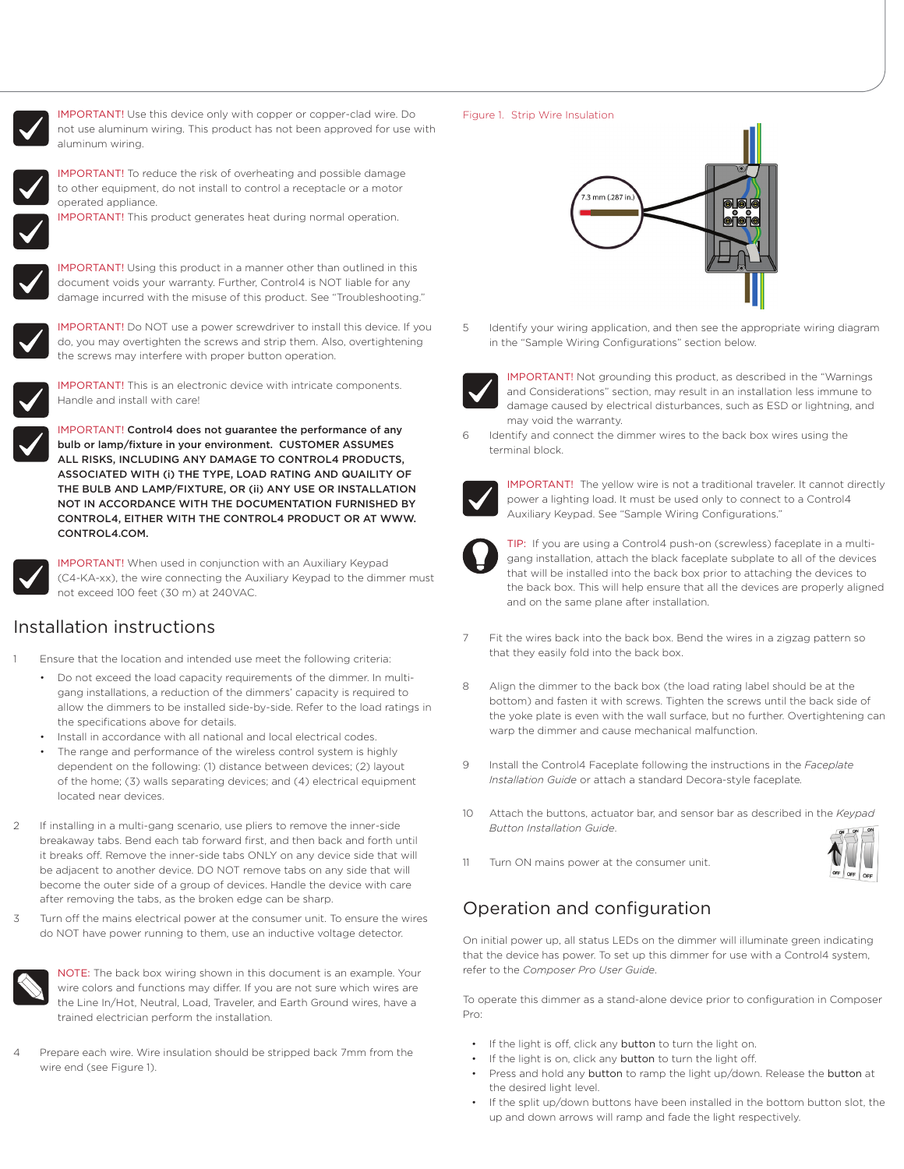

IMPORTANT! Use this device only with copper or copper-clad wire. Do not use aluminum wiring. This product has not been approved for use with aluminum wiring.



IMPORTANT! To reduce the risk of overheating and possible damage to other equipment, do not install to control a receptacle or a motor operated appliance.

IMPORTANT! This product generates heat during normal operation.



IMPORTANT! Using this product in a manner other than outlined in this document voids your warranty. Further, Control4 is NOT liable for any damage incurred with the misuse of this product. See "Troubleshooting."



IMPORTANT! Do NOT use a power screwdriver to install this device. If you do, you may overtighten the screws and strip them. Also, overtightening the screws may interfere with proper button operation.



IMPORTANT! This is an electronic device with intricate components. Handle and install with care!

IMPORTANT! Control4 does not guarantee the performance of any bulb or lamp/fixture in your environment. CUSTOMER ASSUMES ALL RISKS, INCLUDING ANY DAMAGE TO CONTROL4 PRODUCTS, ASSOCIATED WITH (i) THE TYPE, LOAD RATING AND QUAILITY OF THE BULB AND LAMP/FIXTURE, OR (ii) ANY USE OR INSTALLATION NOT IN ACCORDANCE WITH THE DOCUMENTATION FURNISHED BY CONTROL4, EITHER WITH THE CONTROL4 PRODUCT OR AT WWW. CONTROL4.COM.



IMPORTANT! When used in conjunction with an Auxiliary Keypad (C4-KA-xx), the wire connecting the Auxiliary Keypad to the dimmer must not exceed 100 feet (30 m) at 240VAC.

### Installation instructions

- Ensure that the location and intended use meet the following criteria:
	- Do not exceed the load capacity requirements of the dimmer. In multigang installations, a reduction of the dimmers' capacity is required to allow the dimmers to be installed side-by-side. Refer to the load ratings in the specifications above for details.
	- Install in accordance with all national and local electrical codes.
	- The range and performance of the wireless control system is highly dependent on the following: (1) distance between devices; (2) layout of the home; (3) walls separating devices; and (4) electrical equipment located near devices.
- If installing in a multi-gang scenario, use pliers to remove the inner-side breakaway tabs. Bend each tab forward first, and then back and forth until it breaks off. Remove the inner-side tabs ONLY on any device side that will be adjacent to another device. DO NOT remove tabs on any side that will become the outer side of a group of devices. Handle the device with care after removing the tabs, as the broken edge can be sharp.
- 3 Turn off the mains electrical power at the consumer unit. To ensure the wires do NOT have power running to them, use an inductive voltage detector.



NOTE: The back box wiring shown in this document is an example. Your wire colors and functions may differ. If you are not sure which wires are the Line In/Hot, Neutral, Load, Traveler, and Earth Ground wires, have a trained electrician perform the installation.

Prepare each wire. Wire insulation should be stripped back 7mm from the wire end (see Figure 1).

#### Figure 1. Strip Wire Insulation



5 Identify your wiring application, and then see the appropriate wiring diagram in the "Sample Wiring Configurations" section below.



IMPORTANT! Not grounding this product, as described in the "Warnings and Considerations" section, may result in an installation less immune to damage caused by electrical disturbances, such as ESD or lightning, and may void the warranty.

Identify and connect the dimmer wires to the back box wires using the terminal block.



IMPORTANT! The yellow wire is not a traditional traveler. It cannot directly power a lighting load. It must be used only to connect to a Control4 Auxiliary Keypad. See "Sample Wiring Configurations."



TIP: If you are using a Control4 push-on (screwless) faceplate in a multigang installation, attach the black faceplate subplate to all of the devices that will be installed into the back box prior to attaching the devices to the back box. This will help ensure that all the devices are properly aligned and on the same plane after installation.

- Fit the wires back into the back box. Bend the wires in a zigzag pattern so that they easily fold into the back box.
- 8 Align the dimmer to the back box (the load rating label should be at the bottom) and fasten it with screws. Tighten the screws until the back side of the yoke plate is even with the wall surface, but no further. Overtightening can warp the dimmer and cause mechanical malfunction.
- 9 Install the Control4 Faceplate following the instructions in the *Faceplate Installation Guide* or attach a standard Decora-style faceplate*.*
- 10 Attach the buttons, actuator bar, and sensor bar as described in the *Keypad Button Installation Guide*.



11 Turn ON mains power at the consumer unit.

# Operation and configuration

On initial power up, all status LEDs on the dimmer will illuminate green indicating that the device has power. To set up this dimmer for use with a Control4 system, refer to the *Composer Pro User Guide*.

To operate this dimmer as a stand-alone device prior to configuration in Composer Pro:

- If the light is off, click any button to turn the light on.
- If the light is on, click any button to turn the light off.
- Press and hold any button to ramp the light up/down. Release the button at the desired light level.
- If the split up/down buttons have been installed in the bottom button slot, the up and down arrows will ramp and fade the light respectively.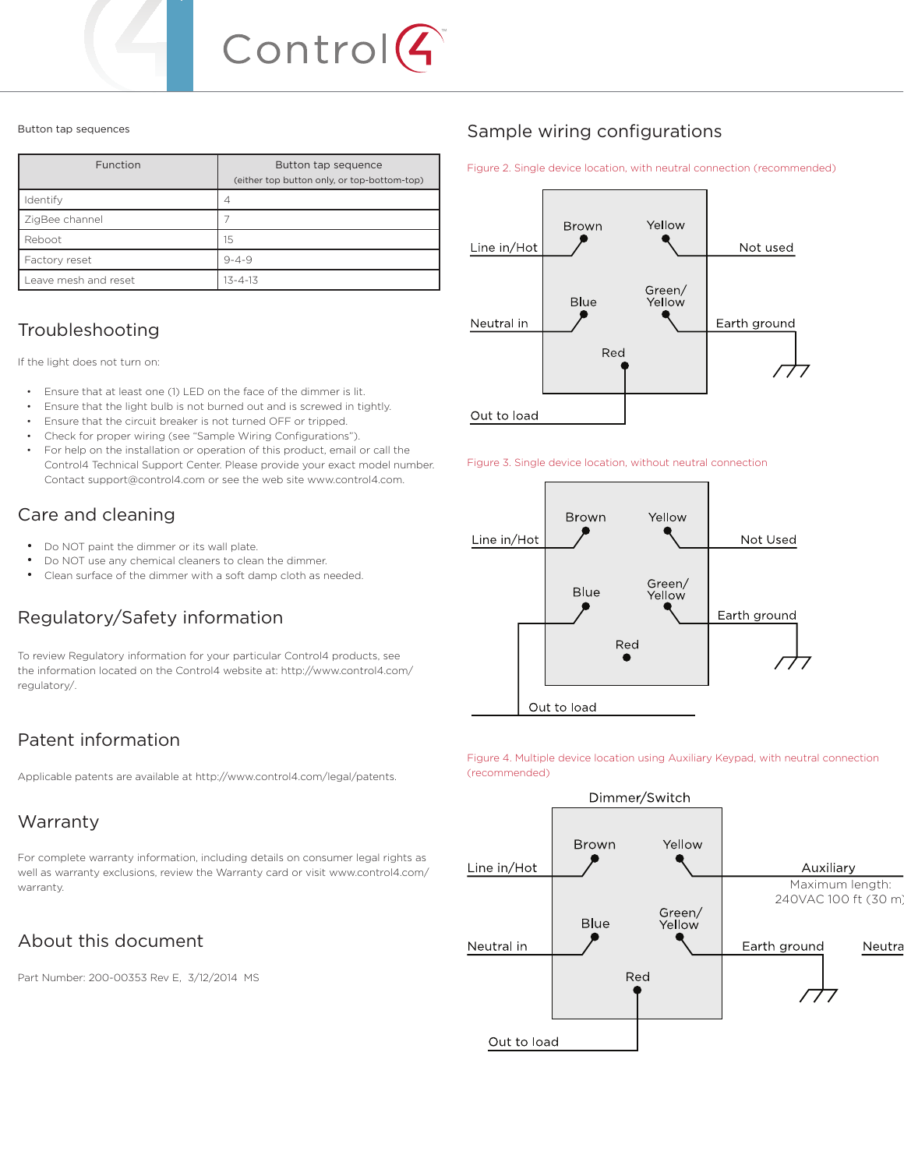

#### Button tap sequences

| Function             | Button tap sequence<br>(either top button only, or top-bottom-top) |
|----------------------|--------------------------------------------------------------------|
| Identify             | 4                                                                  |
| ZigBee channel       |                                                                    |
| Reboot               | 15                                                                 |
| Factory reset        | $9 - 4 - 9$                                                        |
| Leave mesh and reset | $13 - 4 - 13$                                                      |

### Troubleshooting

If the light does not turn on:

- Ensure that at least one (1) LED on the face of the dimmer is lit.
- Ensure that the light bulb is not burned out and is screwed in tightly.
- Ensure that the circuit breaker is not turned OFF or tripped.
- Check for proper wiring (see "Sample Wiring Configurations").
- For help on the installation or operation of this product, email or call the Control4 Technical Support Center. Please provide your exact model number. Contact support@control4.com or see the web site www.control4.com.

# Care and cleaning

- Do NOT paint the dimmer or its wall plate.
- Do NOT use any chemical cleaners to clean the dimmer.
- Clean surface of the dimmer with a soft damp cloth as needed.

# Regulatory/Safety information

To review Regulatory information for your particular Control4 products, see the information located on the Control4 website at: http://www.control4.com/ regulatory/.

# Patent information

Applicable patents are available at http://www.control4.com/legal/patents.

# Warranty

For complete warranty information, including details on consumer legal rights as well as warranty exclusions, review the Warranty card or visit www.control4.com/ warranty.

# About this document

Part Number: 200-00353 Rev E, 3/12/2014 MS

# Sample wiring configurations

Figure 2. Single device location, with neutral connection (recommended)







Figure 4. Multiple device location using Auxiliary Keypad, with neutral connection (recommended)